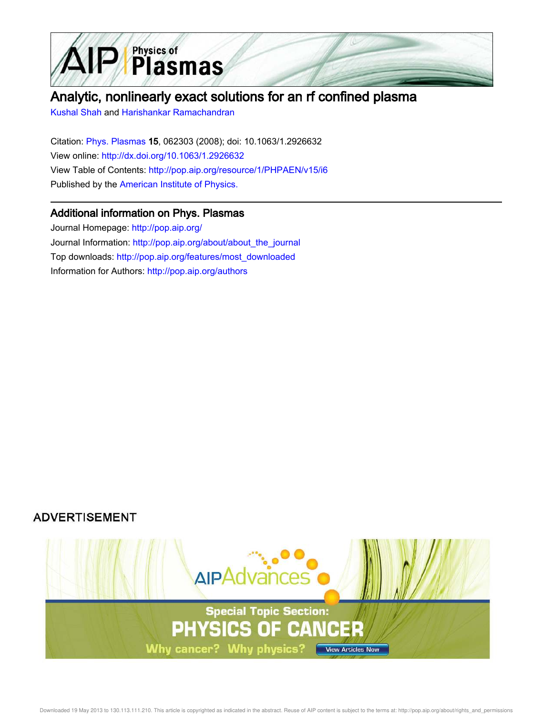

# Analytic, nonlinearly exact solutions for an rf confined plasma

Kushal Shah and Harishankar Ramachandran

Citation: Phys. Plasmas 15, 062303 (2008); doi: 10.1063/1.2926632 View online: http://dx.doi.org/10.1063/1.2926632 View Table of Contents: http://pop.aip.org/resource/1/PHPAEN/v15/i6 Published by the American Institute of Physics.

# Additional information on Phys. Plasmas

Journal Homepage: http://pop.aip.org/ Journal Information: http://pop.aip.org/about/about\_the\_journal Top downloads: http://pop.aip.org/features/most\_downloaded Information for Authors: http://pop.aip.org/authors

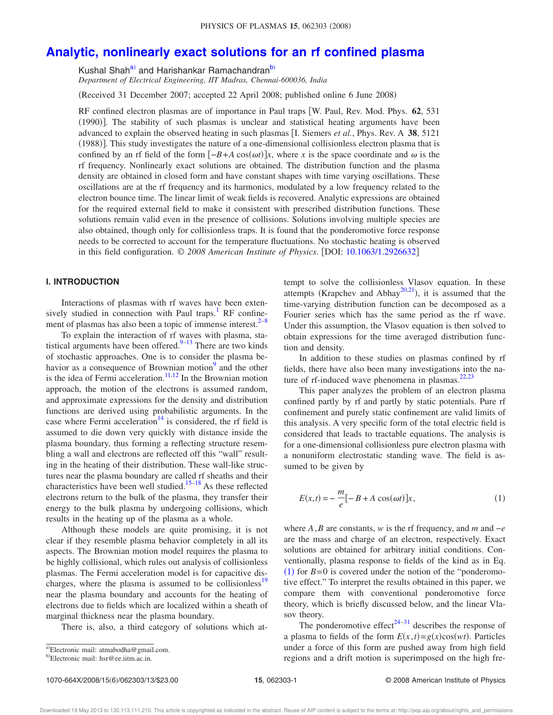# **Analytic, nonlinearly exact solutions for an rf confined plasma**

Kushal Shah<sup>a)</sup> and Harishankar Ramachandran<sup>b)</sup> *Department of Electrical Engineering, IIT Madras, Chennai-600036, India*

Received 31 December 2007; accepted 22 April 2008; published online 6 June 2008-

RF confined electron plasmas are of importance in Paul traps W. Paul, Rev. Mod. Phys. **62**, 531 (1990)]. The stability of such plasmas is unclear and statistical heating arguments have been advanced to explain the observed heating in such plasmas I. Siemers *et al.*, Phys. Rev. A **38**, 5121 1988-. This study investigates the nature of a one-dimensional collisionless electron plasma that is confined by an rf field of the form  $[-B+A \cos(\omega t)]x$ , where *x* is the space coordinate and  $\omega$  is the rf frequency. Nonlinearly exact solutions are obtained. The distribution function and the plasma density are obtained in closed form and have constant shapes with time varying oscillations. These oscillations are at the rf frequency and its harmonics, modulated by a low frequency related to the electron bounce time. The linear limit of weak fields is recovered. Analytic expressions are obtained for the required external field to make it consistent with prescribed distribution functions. These solutions remain valid even in the presence of collisions. Solutions involving multiple species are also obtained, though only for collisionless traps. It is found that the ponderomotive force response needs to be corrected to account for the temperature fluctuations. No stochastic heating is observed in this field configuration. © *2008 American Institute of Physics*. DOI: 10.1063/1.2926632

### **I. INTRODUCTION**

Interactions of plasmas with rf waves have been extensively studied in connection with Paul traps.<sup>1</sup> RF confinement of plasmas has also been a topic of immense interest. $2^{-8}$ 

To explain the interaction of rf waves with plasma, statistical arguments have been offered. $9-13$  There are two kinds of stochastic approaches. One is to consider the plasma behavior as a consequence of Brownian motion<sup>9</sup> and the other is the idea of Fermi acceleration.<sup>11,12</sup> In the Brownian motion approach, the motion of the electrons is assumed random, and approximate expressions for the density and distribution functions are derived using probabilistic arguments. In the case where Fermi acceleration<sup>14</sup> is considered, the rf field is assumed to die down very quickly with distance inside the plasma boundary, thus forming a reflecting structure resembling a wall and electrons are reflected off this "wall" resulting in the heating of their distribution. These wall-like structures near the plasma boundary are called rf sheaths and their characteristics have been well studied.<sup>15–18</sup> As these reflected electrons return to the bulk of the plasma, they transfer their energy to the bulk plasma by undergoing collisions, which results in the heating up of the plasma as a whole.

Although these models are quite promising, it is not clear if they resemble plasma behavior completely in all its aspects. The Brownian motion model requires the plasma to be highly collisional, which rules out analysis of collisionless plasmas. The Fermi acceleration model is for capacitive discharges, where the plasma is assumed to be collisionless<sup>19</sup> near the plasma boundary and accounts for the heating of electrons due to fields which are localized within a sheath of marginal thickness near the plasma boundary.

There is, also, a third category of solutions which at-

tempt to solve the collisionless Vlasov equation. In these attempts (Krapchev and Abhay<sup>20,21</sup>), it is assumed that the time-varying distribution function can be decomposed as a Fourier series which has the same period as the rf wave. Under this assumption, the Vlasov equation is then solved to obtain expressions for the time averaged distribution function and density.

In addition to these studies on plasmas confined by rf fields, there have also been many investigations into the nature of rf-induced wave phenomena in plasmas. $22,23$ 

This paper analyzes the problem of an electron plasma confined partly by rf and partly by static potentials. Pure rf confinement and purely static confinement are valid limits of this analysis. A very specific form of the total electric field is considered that leads to tractable equations. The analysis is for a one-dimensional collisionless pure electron plasma with a nonuniform electrostatic standing wave. The field is assumed to be given by

$$
E(x,t) = -\frac{m}{e}[-B + A\cos(\omega t)]x,
$$
\n(1)

where *A*,*B* are constants, *w* is the rf frequency, and *m* and −*e* are the mass and charge of an electron, respectively. Exact solutions are obtained for arbitrary initial conditions. Conventionally, plasma response to fields of the kind as in Eq.  $(1)$  for  $B=0$  is covered under the notion of the "ponderomotive effect." To interpret the results obtained in this paper, we compare them with conventional ponderomotive force theory, which is briefly discussed below, and the linear Vlasov theory.

The ponderomotive effect<sup>24–31</sup> describes the response of a plasma to fields of the form  $E(x,t) = g(x)\cos(wt)$ . Particles under a force of this form are pushed away from high field regions and a drift motion is superimposed on the high fre-

a)Electronic mail: atmabodha@gmail.com.

<sup>&</sup>lt;sup>b)</sup>Electronic mail: hsr@ee.iitm.ac.in.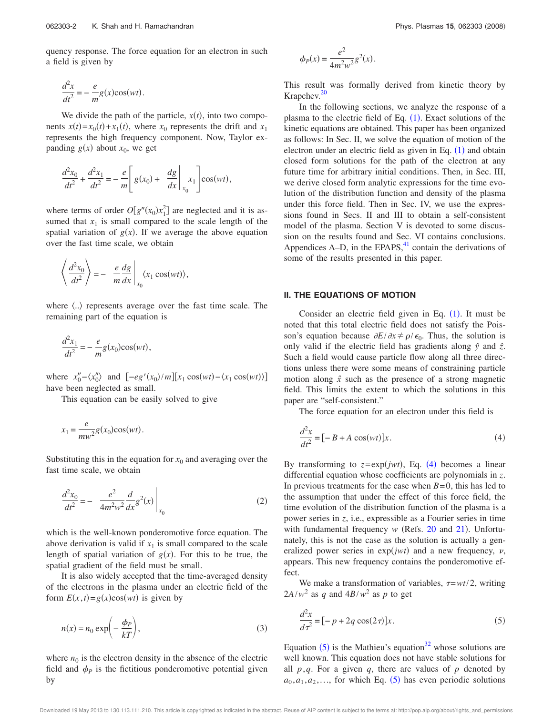quency response. The force equation for an electron in such a field is given by

$$
\frac{d^2x}{dt^2} = -\frac{e}{m}g(x)\cos(wt).
$$

We divide the path of the particle,  $x(t)$ , into two components  $x(t) = x_0(t) + x_1(t)$ , where  $x_0$  represents the drift and  $x_1$ represents the high frequency component. Now, Taylor expanding  $g(x)$  about  $x_0$ , we get

$$
\frac{d^2x_0}{dt^2} + \frac{d^2x_1}{dt^2} = -\frac{e}{m} \left[ g(x_0) + \frac{dg}{dx} \bigg|_{x_0} x_1 \right] \cos(wt),
$$

where terms of order  $O[g''(x_0)x_1^2]$  are neglected and it is assumed that  $x_1$  is small compared to the scale length of the spatial variation of  $g(x)$ . If we average the above equation over the fast time scale, we obtain

$$
\left\langle \frac{d^2x_0}{dt^2} \right\rangle = -\frac{e}{m}\frac{dg}{dx}\bigg|_{x_0} \langle x_1 \cos(wt) \rangle,
$$

where  $\langle \ldots \rangle$  represents average over the fast time scale. The remaining part of the equation is

$$
\frac{d^2x_1}{dt^2} = -\frac{e}{m}g(x_0)\cos(wt),
$$

where  $x_0'' - \langle x_0'' \rangle$  and  $[-eg'(x_0)/m][x_1 \cos(wt) - \langle x_1 \cos(wt) \rangle]$ have been neglected as small.

This equation can be easily solved to give

$$
x_1 = \frac{e}{mw^2}g(x_0)\cos(wt).
$$

Substituting this in the equation for  $x_0$  and averaging over the fast time scale, we obtain

$$
\frac{d^2x_0}{dt^2} = -\frac{e^2}{4m^2w^2}\frac{d}{dx}g^2(x)\Big|_{x_0} \tag{2}
$$

which is the well-known ponderomotive force equation. The above derivation is valid if  $x_1$  is small compared to the scale length of spatial variation of  $g(x)$ . For this to be true, the spatial gradient of the field must be small.

It is also widely accepted that the time-averaged density of the electrons in the plasma under an electric field of the form  $E(x,t) = g(x)\cos(wt)$  is given by

$$
n(x) = n_0 \exp\left(-\frac{\phi_P}{kT}\right),\tag{3}
$$

where  $n_0$  is the electron density in the absence of the electric field and  $\phi_P$  is the fictitious ponderomotive potential given by

Downloaded 19 May 2013 to 130.113.111.210. This article is copyrighted as indicated in the abstract. Reuse of AIP content is subject to the terms at: http://pop.aip.org/about/rights\_and\_permissions

$$
\phi_P(x) = \frac{e^2}{4m^2w^2}g^2(x).
$$

This result was formally derived from kinetic theory by Krapchev. $20$ 

In the following sections, we analyze the response of a plasma to the electric field of Eq.  $(1)$ . Exact solutions of the kinetic equations are obtained. This paper has been organized as follows: In Sec. II, we solve the equation of motion of the electron under an electric field as given in Eq.  $(1)$  and obtain closed form solutions for the path of the electron at any future time for arbitrary initial conditions. Then, in Sec. III, we derive closed form analytic expressions for the time evolution of the distribution function and density of the plasma under this force field. Then in Sec. IV, we use the expressions found in Secs. II and III to obtain a self-consistent model of the plasma. Section V is devoted to some discussion on the results found and Sec. VI contains conclusions. Appendices A–D, in the EPAPS, $41$  contain the derivations of some of the results presented in this paper.

#### **II. THE EQUATIONS OF MOTION**

Consider an electric field given in Eq.  $(1)$ . It must be noted that this total electric field does not satisfy the Poisson's equation because  $\partial E / \partial x \neq \rho / \epsilon_0$ . Thus, the solution is only valid if the electric field has gradients along  $\hat{y}$  and  $\hat{z}$ . Such a field would cause particle flow along all three directions unless there were some means of constraining particle motion along  $\hat{x}$  such as the presence of a strong magnetic field. This limits the extent to which the solutions in this paper are "self-consistent."

The force equation for an electron under this field is

$$
\frac{d^2x}{dt^2} = [-B + A\cos(wt)]x.
$$
 (4)

By transforming to  $z = \exp(jwt)$ , Eq. (4) becomes a linear differential equation whose coefficients are polynomials in *z*. In previous treatments for the case when  $B=0$ , this has led to the assumption that under the effect of this force field, the time evolution of the distribution function of the plasma is a power series in *z*, i.e., expressible as a Fourier series in time with fundamental frequency  $w$  (Refs. 20 and 21). Unfortunately, this is not the case as the solution is actually a generalized power series in  $exp(jwt)$  and a new frequency,  $\nu$ , appears. This new frequency contains the ponderomotive effect.

We make a transformation of variables,  $\tau = wt/2$ , writing  $2A/w^2$  as q and  $4B/w^2$  as p to get

$$
\frac{d^2x}{d\tau^2} = [-p + 2q\cos(2\tau)]x.
$$
 (5)

Equation  $(5)$  is the Mathieu's equation<sup>32</sup> whose solutions are well known. This equation does not have stable solutions for all  $p, q$ . For a given  $q$ , there are values of  $p$  denoted by  $a_0, a_1, a_2, \ldots$ , for which Eq. (5) has even periodic solutions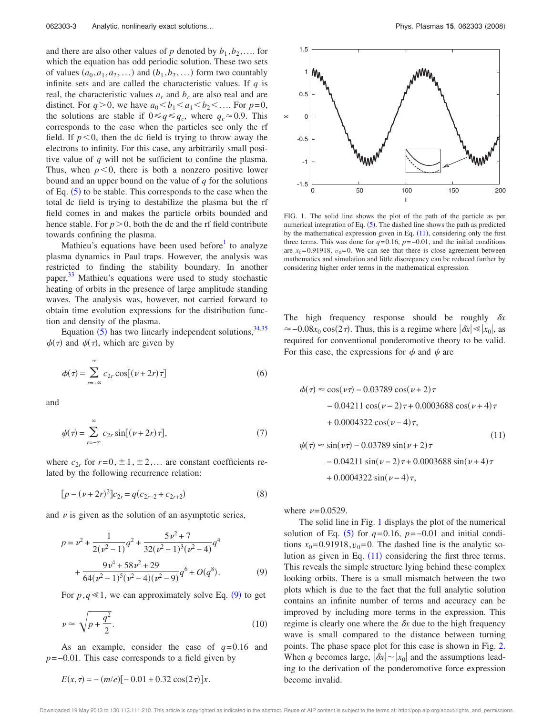and there are also other values of *p* denoted by  $b_1, b_2, \ldots$  for which the equation has odd periodic solution. These two sets of values  $(a_0, a_1, a_2, \ldots)$  and  $(b_1, b_2, \ldots)$  form two countably infinite sets and are called the characteristic values. If *q* is real, the characteristic values  $a_r$  and  $b_r$  are also real and are distinct. For  $q > 0$ , we have  $a_0 < b_1 < a_1 < b_2 < ...$  For  $p=0$ , the solutions are stable if  $0 \leq q \leq q_c$ , where  $q_c \approx 0.9$ . This corresponds to the case when the particles see only the rf field. If  $p<0$ , then the dc field is trying to throw away the electrons to infinity. For this case, any arbitrarily small positive value of *q* will not be sufficient to confine the plasma. Thus, when  $p<0$ , there is both a nonzero positive lower bound and an upper bound on the value of *q* for the solutions of Eq.  $(5)$  to be stable. This corresponds to the case when the total dc field is trying to destabilize the plasma but the rf field comes in and makes the particle orbits bounded and hence stable. For  $p > 0$ , both the dc and the rf field contribute towards confining the plasma.

Mathieu's equations have been used before<sup>1</sup> to analyze plasma dynamics in Paul traps. However, the analysis was restricted to finding the stability boundary. In another paper,<sup>33</sup> Mathieu's equations were used to study stochastic heating of orbits in the presence of large amplitude standing waves. The analysis was, however, not carried forward to obtain time evolution expressions for the distribution function and density of the plasma.

Equation  $(5)$  has two linearly independent solutions,  $34,35$  $\phi(\tau)$  and  $\psi(\tau)$ , which are given by

$$
\phi(\tau) = \sum_{r=-\infty}^{\infty} c_{2r} \cos[(\nu + 2r)\tau]
$$
\n(6)

and

$$
\psi(\tau) = \sum_{r=-\infty}^{\infty} c_{2r} \sin[(\nu + 2r)\tau],\tag{7}
$$

where  $c_{2r}$  for  $r=0, \pm 1, \pm 2,...$  are constant coefficients related by the following recurrence relation:

$$
[p - (\nu + 2r)^2]c_{2r} = q(c_{2r-2} + c_{2r+2})
$$
\n(8)

and  $\nu$  is given as the solution of an asymptotic series,

$$
p = \nu^2 + \frac{1}{2(\nu^2 - 1)}q^2 + \frac{5\nu^2 + 7}{32(\nu^2 - 1)^3(\nu^2 - 4)}q^4
$$
  
+ 
$$
\frac{9\nu^4 + 58\nu^2 + 29}{64(\nu^2 - 1)^5(\nu^2 - 4)(\nu^2 - 9)}q^6 + O(q^8).
$$
 (9)

For  $p, q \leq 1$ , we can approximately solve Eq. (9) to get

$$
\nu \approx \sqrt{p + \frac{q^2}{2}}.\tag{10}
$$

As an example, consider the case of *q*=0.16 and *p*=−0.01. This case corresponds to a field given by

$$
E(x,\tau) = -(m/e)[-0.01 + 0.32 \cos(2\tau)]x.
$$



FIG. 1. The solid line shows the plot of the path of the particle as per numerical integration of Eq.  $(5)$ . The dashed line shows the path as predicted by the mathematical expression given in Eq.  $(11)$ , considering only the first three terms. This was done for  $q=0.16$ ,  $p=-0.01$ , and the initial conditions are  $x_0$ =0.91918,  $v_0$ =0. We can see that there is close agreement between mathematics and simulation and little discrepancy can be reduced further by considering higher order terms in the mathematical expression.

The high frequency response should be roughly  $\delta x$  $\approx$  -0.08 $x_0$  cos(2 $\tau$ ). Thus, this is a regime where  $|\delta x| \le |x_0|$ , as required for conventional ponderomotive theory to be valid. For this case, the expressions for  $\phi$  and  $\psi$  are

$$
\phi(\tau) \approx \cos(\nu \tau) - 0.03789 \cos(\nu + 2) \tau
$$
  
\n
$$
- 0.04211 \cos(\nu - 2) \tau + 0.0003688 \cos(\nu + 4) \tau
$$
  
\n
$$
+ 0.0004322 \cos(\nu - 4) \tau,
$$
  
\n
$$
\psi(\tau) \approx \sin(\nu \tau) - 0.03789 \sin(\nu + 2) \tau
$$
  
\n
$$
- 0.04211 \sin(\nu - 2) \tau + 0.0003688 \sin(\nu + 4) \tau
$$
  
\n
$$
+ 0.0004322 \sin(\nu - 4) \tau,
$$
  
\n(11)

where  $\nu$ =0.0529.

The solid line in Fig. 1 displays the plot of the numerical solution of Eq.  $(5)$  for  $q=0.16$ ,  $p=-0.01$  and initial conditions  $x_0$ =0.91918, $v_0$ =0. The dashed line is the analytic solution as given in Eq.  $(11)$  considering the first three terms. This reveals the simple structure lying behind these complex looking orbits. There is a small mismatch between the two plots which is due to the fact that the full analytic solution contains an infinite number of terms and accuracy can be improved by including more terms in the expression. This regime is clearly one where the  $\delta x$  due to the high frequency wave is small compared to the distance between turning points. The phase space plot for this case is shown in Fig. 2. When *q* becomes large,  $|\delta x| \sim |x_0|$  and the assumptions leading to the derivation of the ponderomotive force expression become invalid.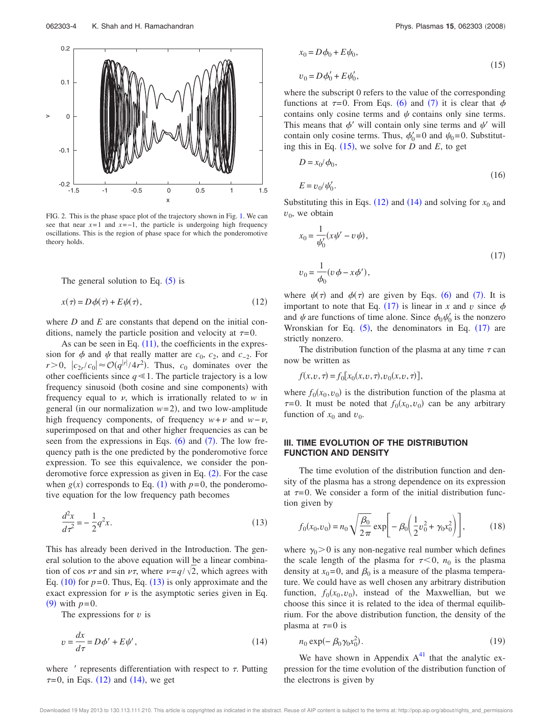

FIG. 2. This is the phase space plot of the trajectory shown in Fig. 1. We can see that near *x*=1 and *x*=−1, the particle is undergoing high frequency oscillations. This is the region of phase space for which the ponderomotive theory holds.

The general solution to Eq.  $(5)$  is

$$
x(\tau) = D\phi(\tau) + E\psi(\tau),\tag{12}
$$

where *D* and *E* are constants that depend on the initial conditions, namely the particle position and velocity at  $\tau=0$ .

As can be seen in Eq.  $(11)$ , the coefficients in the expression for  $\phi$  and  $\psi$  that really matter are *c*<sub>0</sub>, *c*<sub>2</sub>, and *c*<sub>−2</sub>. For  $r > 0$ ,  $|c_{2r}/c_0| \approx \mathcal{O}(q^{|r|}/4r^2)$ . Thus,  $c_0$  dominates over the other coefficients since  $q \le 1$ . The particle trajectory is a low frequency sinusoid (both cosine and sine components) with frequency equal to  $\nu$ , which is irrationally related to  $w$  in general (in our normalization  $w=2$ ), and two low-amplitude high frequency components, of frequency  $w + v$  and  $w - v$ , superimposed on that and other higher frequencies as can be seen from the expressions in Eqs.  $(6)$  and  $(7)$ . The low frequency path is the one predicted by the ponderomotive force expression. To see this equivalence, we consider the ponderomotive force expression as given in Eq.  $(2)$ . For the case when  $g(x)$  corresponds to Eq. (1) with  $p=0$ , the ponderomotive equation for the low frequency path becomes

$$
\frac{d^2x}{d\tau^2} = -\frac{1}{2}q^2x.\tag{13}
$$

This has already been derived in the Introduction. The general solution to the above equation will be a linear combination of cos  $\nu\tau$  and sin  $\nu\tau$ , where  $\nu=q/\sqrt{2}$ , which agrees with Eq.  $(10)$  for  $p=0$ . Thus, Eq.  $(13)$  is only approximate and the exact expression for  $\nu$  is the asymptotic series given in Eq.  $(9)$  with  $p=0$ .

The expressions for *v* is

$$
v = \frac{dx}{d\tau} = D\phi' + E\psi',\tag{14}
$$

where  $'$  represents differentiation with respect to  $\tau$ . Putting  $\tau = 0$ , in Eqs. (12) and (14), we get

$$
x_0 = D\phi_0 + E\psi_0,
$$
  
\n
$$
v_0 = D\phi'_0 + E\psi'_0,
$$
\n(15)

where the subscript 0 refers to the value of the corresponding functions at  $\tau=0$ . From Eqs. (6) and (7) it is clear that  $\phi$ contains only cosine terms and  $\psi$  contains only sine terms. This means that  $\phi'$  will contain only sine terms and  $\psi'$  will contain only cosine terms. Thus,  $\phi'_0 = 0$  and  $\psi_0 = 0$ . Substituting this in Eq.  $(15)$ , we solve for *D* and *E*, to get

$$
D = x_0/\phi_0,
$$
  
\n
$$
E = v_0/\psi'_0.
$$
\n(16)

Substituting this in Eqs.  $(12)$  and  $(14)$  and solving for  $x_0$  and  $v_0$ , we obtain

$$
x_0 = \frac{1}{\psi'_0} (x\psi' - v\psi),
$$
  
\n
$$
v_0 = \frac{1}{\phi_0} (v\phi - x\phi'),
$$
\n(17)

where  $\psi(\tau)$  and  $\phi(\tau)$  are given by Eqs. (6) and (7). It is important to note that Eq. (17) is linear in *x* and *v* since  $\phi$ and  $\psi$  are functions of time alone. Since  $\phi_0 \psi_0'$  is the nonzero Wronskian for Eq.  $(5)$ , the denominators in Eq.  $(17)$  are strictly nonzero.

The distribution function of the plasma at any time  $\tau$  can now be written as

$$
f(x, v, \tau) = f_0[x_0(x, v, \tau), v_0(x, v, \tau)],
$$

where  $f_0(x_0, v_0)$  is the distribution function of the plasma at  $\tau$ =0. It must be noted that  $f_0(x_0, v_0)$  can be any arbitrary function of  $x_0$  and  $v_0$ .

# **III. TIME EVOLUTION OF THE DISTRIBUTION FUNCTION AND DENSITY**

The time evolution of the distribution function and density of the plasma has a strong dependence on its expression at  $\tau=0$ . We consider a form of the initial distribution function given by

$$
f_0(x_0, v_0) = n_0 \sqrt{\frac{\beta_0}{2\pi}} \exp\bigg[ -\beta_0 \bigg(\frac{1}{2}v_0^2 + \gamma_0 x_0^2\bigg) \bigg],
$$
 (18)

where  $\gamma_0$  > 0 is any non-negative real number which defines the scale length of the plasma for  $\tau < 0$ ,  $n_0$  is the plasma density at  $x_0 = 0$ , and  $\beta_0$  is a measure of the plasma temperature. We could have as well chosen any arbitrary distribution function,  $f_0(x_0, v_0)$ , instead of the Maxwellian, but we choose this since it is related to the idea of thermal equilibrium. For the above distribution function, the density of the plasma at  $\tau=0$  is

$$
n_0 \exp(-\beta_0 \gamma_0 x_0^2). \tag{19}
$$

We have shown in Appendix  $A<sup>41</sup>$  that the analytic expression for the time evolution of the distribution function of the electrons is given by

Downloaded 19 May 2013 to 130.113.111.210. This article is copyrighted as indicated in the abstract. Reuse of AIP content is subject to the terms at: http://pop.aip.org/about/rights\_and\_permissions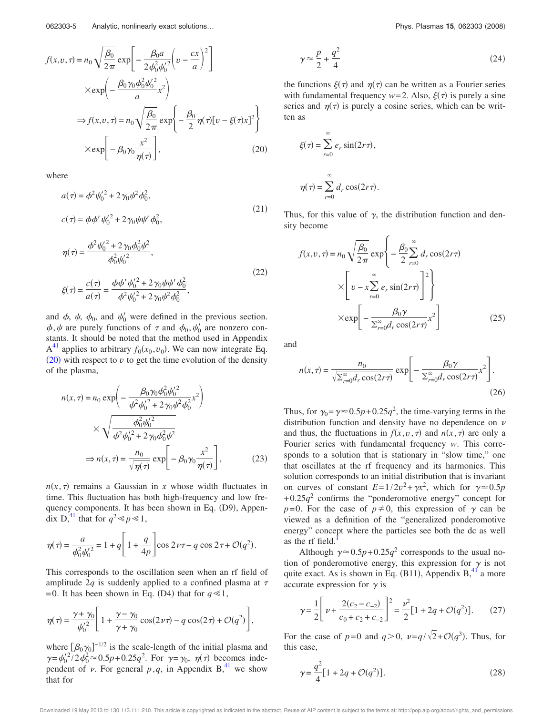$$
f(x, v, \tau) = n_0 \sqrt{\frac{\beta_0}{2\pi}} \exp\left[-\frac{\beta_0 a}{2\phi_0^2 \psi_0'^2} \left(v - \frac{cx}{a}\right)^2\right]
$$
  
\n
$$
\times \exp\left(-\frac{\beta_0 \gamma_0 \phi_0^2 \psi_0'^2}{a} x^2\right)
$$
  
\n
$$
\Rightarrow f(x, v, \tau) = n_0 \sqrt{\frac{\beta_0}{2\pi}} \exp\left\{-\frac{\beta_0}{2} \eta(\tau) [v - \xi(\tau) x]^2\right\}
$$
  
\n
$$
\times \exp\left[-\beta_0 \gamma_0 \frac{x^2}{\eta(\tau)}\right],
$$
\n(20)

where

$$
a(\tau) = \phi^2 \psi_0'^2 + 2\gamma_0 \psi^2 \phi_0^2,
$$
  
\n
$$
c(\tau) = \phi \phi' \psi_0'^2 + 2\gamma_0 \psi \psi' \phi_0^2,
$$
\n(21)

$$
\eta(\tau) = \frac{\phi^2 \psi_0^{\prime 2} + 2 \gamma_0 \phi_0^2 \psi^2}{\phi_0^2 \psi_0^{\prime 2}},
$$
  

$$
\xi(\tau) = \frac{c(\tau)}{a(\tau)} = \frac{\phi \phi' \psi_0^{\prime 2} + 2 \gamma_0 \psi \psi' \phi_0^2}{\phi^2 \psi_0^{\prime 2} + 2 \gamma_0 \psi^2 \phi_0^2},
$$
\n(22)

and  $\phi$ ,  $\psi$ ,  $\phi$ <sub>0</sub>, and  $\psi'$  were defined in the previous section.  $\phi$ ,  $\psi$  are purely functions of  $\tau$  and  $\phi_0$ ,  $\psi'_0$  are nonzero constants. It should be noted that the method used in Appendix  $A^{41}$  applies to arbitrary  $f_0(x_0, v_0)$ . We can now integrate Eq.  $(20)$  with respect to  $v$  to get the time evolution of the density of the plasma,

$$
n(x,\tau) = n_0 \exp\left(-\frac{\beta_0 \gamma_0 \phi_0^2 \psi_0'^2}{\phi^2 \psi_0'^2 + 2 \gamma_0 \psi^2 \phi_0^2} x^2\right)
$$

$$
\times \sqrt{\frac{\phi_0^2 \psi_0'^2}{\phi^2 \psi_0'^2 + 2 \gamma_0 \phi_0^2 \psi^2}}
$$

$$
\Rightarrow n(x,\tau) = \frac{n_0}{\sqrt{\eta(\tau)}} \exp\left[-\beta_0 \gamma_0 \frac{x^2}{\eta(\tau)}\right],
$$
(23)

 $n(x, \tau)$  remains a Gaussian in *x* whose width fluctuates in time. This fluctuation has both high-frequency and low frequency components. It has been shown in Eq. (D9), Appendix D,<sup>41</sup> that for  $q^2 \ll p \ll 1$ ,

$$
\eta(\tau) = \frac{a}{\phi_0^2 \psi_0'^2} = 1 + q \left[ 1 + \frac{q}{4p} \right] \cos 2\nu \tau - q \cos 2\tau + \mathcal{O}(q^2).
$$

This corresponds to the oscillation seen when an rf field of amplitude  $2q$  is suddenly applied to a confined plasma at  $\tau$  $= 0$ . It has been shown in Eq. (D4) that for  $q \le 1$ ,

$$
\eta(\tau) = \frac{\gamma + \gamma_0}{\psi_0^{\prime 2}} \left[ 1 + \frac{\gamma - \gamma_0}{\gamma + \gamma_0} \cos(2 \nu \tau) - q \cos(2 \tau) + \mathcal{O}(q^2) \right],
$$

where  $[\beta_0 \gamma_0]^{-1/2}$  is the scale-length of the initial plasma and  $\gamma = \psi_0^2 / 2 \phi_0^2 \approx 0.5p + 0.25q^2$ . For  $\gamma = \gamma_0$ ,  $\eta(\tau)$  becomes independent of  $\nu$ . For general  $p, q$ , in Appendix B,<sup>41</sup> we show that for

$$
\gamma \approx \frac{p}{2} + \frac{q^2}{4} \tag{24}
$$

the functions  $\xi(\tau)$  and  $\eta(\tau)$  can be written as a Fourier series with fundamental frequency  $w=2$ . Also,  $\xi(\tau)$  is purely a sine series and  $\eta(\tau)$  is purely a cosine series, which can be written as

$$
\xi(\tau) = \sum_{r=0}^{\infty} e_r \sin(2r\tau),
$$

$$
\eta(\tau) = \sum_{r=0}^{\infty} d_r \cos(2r\tau).
$$

Thus, for this value of  $\gamma$ , the distribution function and density become

$$
f(x, v, \tau) = n_0 \sqrt{\frac{\beta_0}{2\pi}} \exp\left\{-\frac{\beta_0}{2} \sum_{r=0}^{\infty} d_r \cos(2r\tau) \times \left[v - x \sum_{r=0}^{\infty} e_r \sin(2r\tau)\right]^2\right\}
$$

$$
\times \exp\left[-\frac{\beta_0 \gamma}{\sum_{r=0}^{\infty} d_r \cos(2r\tau)} x^2\right]
$$
(25)

and

$$
n(x,\tau) = \frac{n_0}{\sqrt{\sum_{r=0}^{\infty} d_r \cos(2r\tau)}} \exp\left[-\frac{\beta_0 \gamma}{\sum_{r=0}^{\infty} d_r \cos(2r\tau)} x^2\right].
$$
\n(26)

Thus, for  $\gamma_0 = \gamma \approx 0.5p + 0.25q^2$ , the time-varying terms in the distribution function and density have no dependence on  $\nu$ and thus, the fluctuations in  $f(x, v, \tau)$  and  $n(x, \tau)$  are only a Fourier series with fundamental frequency *w*. This corresponds to a solution that is stationary in "slow time," one that oscillates at the rf frequency and its harmonics. This solution corresponds to an initial distribution that is invariant on curves of constant  $E = 1/2v^2 + \gamma x^2$ , which for  $\gamma \approx 0.5p$  $+0.25q<sup>2</sup>$  confirms the "ponderomotive energy" concept for *p*=0. For the case of  $p \neq 0$ , this expression of  $\gamma$  can be viewed as a definition of the "generalized ponderomotive energy" concept where the particles see both the dc as well as the rf field. $\overline{1}$ 

Although  $\gamma \approx 0.5p + 0.25q^2$  corresponds to the usual notion of ponderomotive energy, this expression for  $\gamma$  is not quite exact. As is shown in Eq.  $(B11)$ , Appendix  $B<sub>1</sub><sup>41</sup>$  a more accurate expression for  $\gamma$  is

$$
\gamma = \frac{1}{2} \left[ \nu + \frac{2(c_2 - c_{-2})}{c_0 + c_2 + c_{-2}} \right]^2 = \frac{\nu^2}{2} [1 + 2q + \mathcal{O}(q^2)]. \tag{27}
$$

For the case of  $p=0$  and  $q>0$ ,  $\nu=q/\sqrt{2}+\mathcal{O}(q^3)$ . Thus, for this case,

$$
\gamma = \frac{q^2}{4} [1 + 2q + \mathcal{O}(q^2)].
$$
\n(28)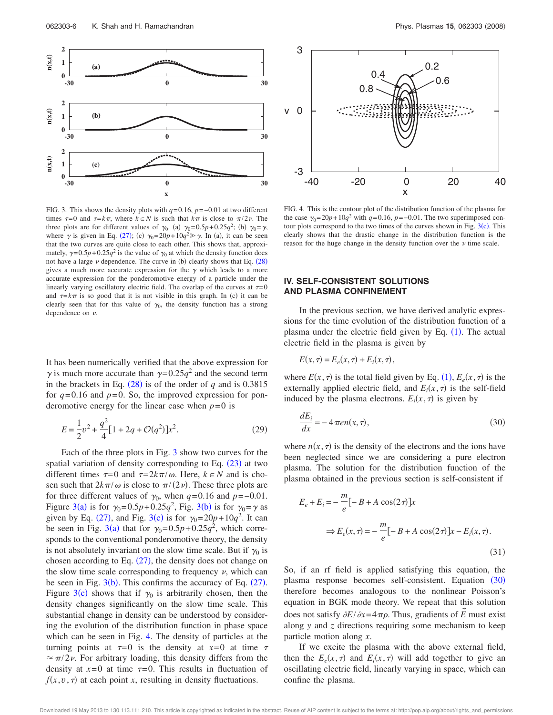

FIG. 3. This shows the density plots with *q*=0.16, *p*=−0.01 at two different times  $\tau=0$  and  $\tau=k\pi$ , where  $k \in N$  is such that  $k\pi$  is close to  $\pi/2\nu$ . The three plots are for different values of  $\gamma_0$ . (a)  $\gamma_0 = 0.5p + 0.25q^2$ ; (b)  $\gamma_0 = \gamma$ , where  $\gamma$  is given in Eq. (27); (c)  $\gamma_0 = 20p + 10q^2 \gg \gamma$ . In (a), it can be seen that the two curves are quite close to each other. This shows that, approximately,  $\gamma = 0.5p + 0.25q^2$  is the value of  $\gamma_0$  at which the density function does not have a large  $\nu$  dependence. The curve in (b) clearly shows that Eq. (28) gives a much more accurate expression for the  $\gamma$  which leads to a more accurate expression for the ponderomotive energy of a particle under the linearly varying oscillatory electric field. The overlap of the curves at  $\tau=0$ and  $\tau = k\pi$  is so good that it is not visible in this graph. In (c) it can be clearly seen that for this value of  $\gamma_0$ , the density function has a strong dependence on  $\nu$ .

It has been numerically verified that the above expression for  $\gamma$  is much more accurate than  $\gamma = 0.25q^2$  and the second term in the brackets in Eq.  $(28)$  is of the order of *q* and is 0.3815 for  $q=0.16$  and  $p=0$ . So, the improved expression for ponderomotive energy for the linear case when  $p=0$  is

$$
E = \frac{1}{2}v^2 + \frac{q^2}{4}[1 + 2q + \mathcal{O}(q^2)]x^2.
$$
 (29)

Each of the three plots in Fig. 3 show two curves for the spatial variation of density corresponding to Eq.  $(23)$  at two different times  $\tau = 0$  and  $\tau = 2k\pi/\omega$ . Here,  $k \in N$  and is chosen such that  $2k\pi/\omega$  is close to  $\pi/(2\nu)$ . These three plots are for three different values of  $\gamma_0$ , when  $q=0.16$  and  $p=-0.01$ . Figure 3(a) is for  $\gamma_0 = 0.5p + 0.25q^2$ , Fig. 3(b) is for  $\gamma_0 = \gamma$  as given by Eq. (27), and Fig. 3(c) is for  $\gamma_0 = 20p + 10q^2$ . It can be seen in Fig. 3(a) that for  $\gamma_0=0.5p+0.25q^2$ , which corresponds to the conventional ponderomotive theory, the density is not absolutely invariant on the slow time scale. But if  $\gamma_0$  is chosen according to Eq.  $(27)$ , the density does not change on the slow time scale corresponding to frequency  $\nu$ , which can be seen in Fig.  $3(b)$ . This confirms the accuracy of Eq.  $(27)$ . Figure 3(c) shows that if  $\gamma_0$  is arbitrarily chosen, then the density changes significantly on the slow time scale. This substantial change in density can be understood by considering the evolution of the distribution function in phase space which can be seen in Fig. 4. The density of particles at the turning points at  $\tau=0$  is the density at  $x=0$  at time  $\tau$  $\approx \pi/2\nu$ . For arbitrary loading, this density differs from the density at  $x=0$  at time  $\tau=0$ . This results in fluctuation of  $f(x, v, \tau)$  at each point *x*, resulting in density fluctuations.



FIG. 4. This is the contour plot of the distribution function of the plasma for the case  $\gamma_0$ =20*p*+10*q*<sup>2</sup> with *q*=0.16, *p*=−0.01. The two superimposed contour plots correspond to the two times of the curves shown in Fig.  $3(c)$ . This clearly shows that the drastic change in the distribution function is the reason for the huge change in the density function over the  $\nu$  time scale.

# **IV. SELF-CONSISTENT SOLUTIONS AND PLASMA CONFINEMENT**

In the previous section, we have derived analytic expressions for the time evolution of the distribution function of a plasma under the electric field given by Eq.  $(1)$ . The actual electric field in the plasma is given by

$$
E(x,\tau) = E_e(x,\tau) + E_i(x,\tau),
$$

where  $E(x, \tau)$  is the total field given by Eq. (1),  $E_e(x, \tau)$  is the externally applied electric field, and  $E_i(x, \tau)$  is the self-field induced by the plasma electrons.  $E_i(x, \tau)$  is given by

$$
\frac{dE_i}{dx} = -4\pi en(x, \tau),\tag{30}
$$

where  $n(x, \tau)$  is the density of the electrons and the ions have been neglected since we are considering a pure electron plasma. The solution for the distribution function of the plasma obtained in the previous section is self-consistent if

$$
E_e + E_i = -\frac{m}{e} \left[ -B + A \cos(2\tau) \right] x
$$
  

$$
\Rightarrow E_e(x, \tau) = -\frac{m}{e} \left[ -B + A \cos(2\tau) \right] x - E_i(x, \tau).
$$
  
(31)

So, if an rf field is applied satisfying this equation, the plasma response becomes self-consistent. Equation (30) therefore becomes analogous to the nonlinear Poisson's equation in BGK mode theory. We repeat that this solution does not satisfy  $\partial E / \partial x = 4\pi \rho$ . Thus, gradients of  $\overrightarrow{E}$  must exist along *y* and *z* directions requiring some mechanism to keep particle motion along *x*.

If we excite the plasma with the above external field, then the  $E_e(x, \tau)$  and  $E_i(x, \tau)$  will add together to give an oscillating electric field, linearly varying in space, which can confine the plasma.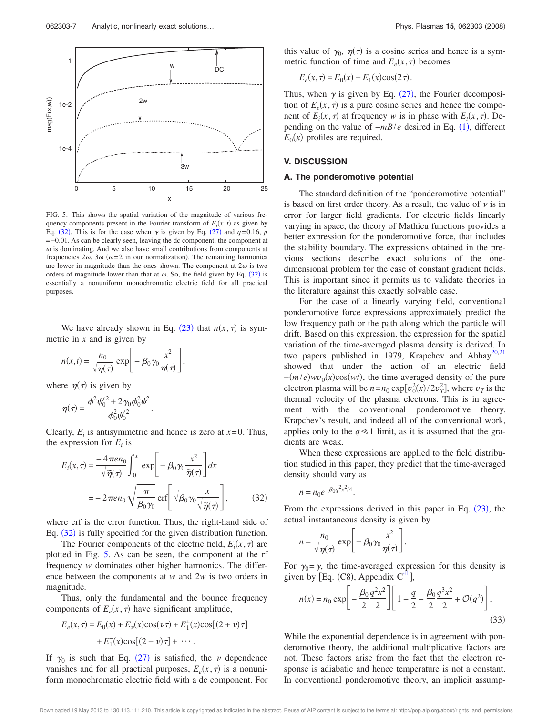

FIG. 5. This shows the spatial variation of the magnitude of various frequency components present in the Fourier transform of  $E_i(x, t)$  as given by Eq. (32). This is for the case when  $\gamma$  is given by Eq. (27) and  $q=0.16$ , *p* =−0.01. As can be clearly seen, leaving the dc component, the component at  $\omega$  is dominating. And we also have small contributions from components at frequencies  $2\omega$ ,  $3\omega$  ( $\omega$ =2 in our normalization). The remaining harmonics are lower in magnitude than the ones shown. The component at  $2\omega$  is two orders of magnitude lower than that at  $\omega$ . So, the field given by Eq. (32) is essentially a nonuniform monochromatic electric field for all practical purposes.

We have already shown in Eq. (23) that  $n(x, \tau)$  is symmetric in *x* and is given by

$$
n(x,t) = \frac{n_0}{\sqrt{\eta(\tau)}} \exp \left[ -\beta_0 \gamma_0 \frac{x^2}{\eta(\tau)} \right],
$$

where  $\eta(\tau)$  is given by

$$
\eta(\tau) = \frac{\phi^2 \psi_0^{\prime 2} + 2 \gamma_0 \phi_0^2 \psi^2}{\phi_0^2 {\psi_0^{\prime 2}}}.
$$

Clearly,  $E_i$  is antisymmetric and hence is zero at  $x=0$ . Thus, the expression for  $E_i$  is

$$
E_i(x,\tau) = \frac{-4\pi e n_0}{\sqrt{\tilde{\eta}(\tau)}} \int_0^x \exp\left[-\beta_0 \gamma_0 \frac{x^2}{\tilde{\eta}(\tau)}\right] dx
$$
  
=  $-2\pi e n_0 \sqrt{\frac{\pi}{\beta_0 \gamma_0}} \operatorname{erf}\left[\sqrt{\beta_0 \gamma_0} \frac{x}{\sqrt{\tilde{\eta}(\tau)}}\right],$  (32)

where erf is the error function. Thus, the right-hand side of Eq. (32) is fully specified for the given distribution function.

The Fourier components of the electric field,  $E_i(x, \tau)$  are plotted in Fig. 5. As can be seen, the component at the rf frequency *w* dominates other higher harmonics. The difference between the components at *w* and 2*w* is two orders in magnitude.

Thus, only the fundamental and the bounce frequency components of  $E_e(x, \tau)$  have significant amplitude,

$$
E_e(x,\tau) = E_0(x) + E_{\nu}(x)\cos(\nu\tau) + E_1^+(x)\cos[(2+\nu)\tau] + E_1^-(x)\cos[(2-\nu)\tau] + \cdots
$$

If  $\gamma_0$  is such that Eq. (27) is satisfied, the  $\nu$  dependence vanishes and for all practical purposes,  $E_e(x, \tau)$  is a nonuniform monochromatic electric field with a dc component. For this value of  $\gamma_0$ ,  $\eta(\tau)$  is a cosine series and hence is a symmetric function of time and  $E_e(x, \tau)$  becomes

$$
E_e(x, \tau) = E_0(x) + E_1(x)\cos(2\tau).
$$

Thus, when  $\gamma$  is given by Eq. (27), the Fourier decomposition of  $E_e(x, \tau)$  is a pure cosine series and hence the component of  $E_i(x, \tau)$  at frequency *w* is in phase with  $E_i(x, \tau)$ . Depending on the value of  $-mB/e$  desired in Eq. (1), different  $E_0(x)$  profiles are required.

#### **V. DISCUSSION**

#### **A. The ponderomotive potential**

The standard definition of the "ponderomotive potential" is based on first order theory. As a result, the value of  $\nu$  is in error for larger field gradients. For electric fields linearly varying in space, the theory of Mathieu functions provides a better expression for the ponderomotive force, that includes the stability boundary. The expressions obtained in the previous sections describe exact solutions of the onedimensional problem for the case of constant gradient fields. This is important since it permits us to validate theories in the literature against this exactly solvable case.

For the case of a linearly varying field, conventional ponderomotive force expressions approximately predict the low frequency path or the path along which the particle will drift. Based on this expression, the expression for the spatial variation of the time-averaged plasma density is derived. In two papers published in 1979, Krapchev and Abhay<sup>20,21</sup> showed that under the action of an electric field  $-(m/e)wv_0(x)\cos(wt)$ , the time-averaged density of the pure electron plasma will be  $n = n_0 \exp[v_0^2(x)/2v_T^2]$ , where  $v_T$  is the thermal velocity of the plasma electrons. This is in agreement with the conventional ponderomotive theory. Krapchev's result, and indeed all of the conventional work, applies only to the  $q \le 1$  limit, as it is assumed that the gradients are weak.

When these expressions are applied to the field distribution studied in this paper, they predict that the time-averaged density should vary as

$$
n = n_0 e^{-\beta_0 q^2 x^2/4}.
$$

From the expressions derived in this paper in Eq.  $(23)$ , the actual instantaneous density is given by

$$
n = \frac{n_0}{\sqrt{\eta(\tau)}} \exp \left[-\beta_0 \gamma_0 \frac{x^2}{\eta(\tau)}\right].
$$

For  $\gamma_0 = \gamma$ , the time-averaged expression for this density is given by [Eq. (C8), Appendix  $C^{41}$ ],

$$
\overline{n(x)} = n_0 \exp\left[-\frac{\beta_0 q^2 x^2}{2} \right] \left[1 - \frac{q}{2} - \frac{\beta_0 q^3 x^2}{2} + \mathcal{O}(q^2)\right].
$$
\n(33)

While the exponential dependence is in agreement with ponderomotive theory, the additional multiplicative factors are not. These factors arise from the fact that the electron response is adiabatic and hence temperature is not a constant. In conventional ponderomotive theory, an implicit assump-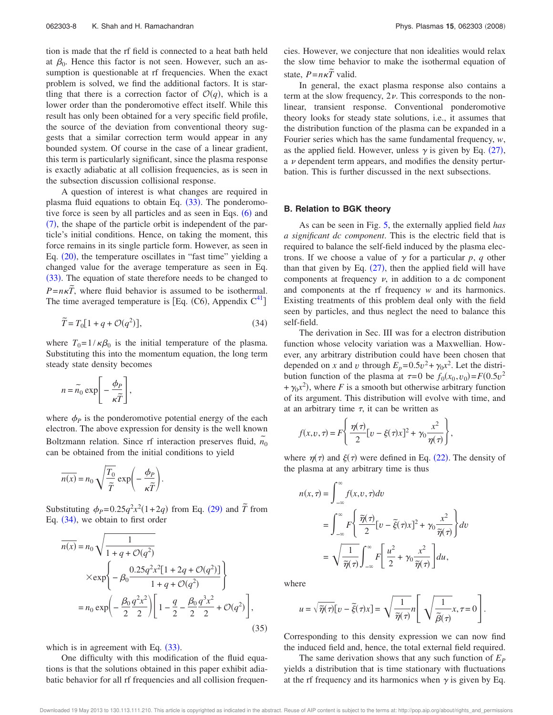tion is made that the rf field is connected to a heat bath held at  $\beta_0$ . Hence this factor is not seen. However, such an assumption is questionable at rf frequencies. When the exact problem is solved, we find the additional factors. It is startling that there is a correction factor of  $O(q)$ , which is a lower order than the ponderomotive effect itself. While this result has only been obtained for a very specific field profile, the source of the deviation from conventional theory suggests that a similar correction term would appear in any bounded system. Of course in the case of a linear gradient, this term is particularly significant, since the plasma response is exactly adiabatic at all collision frequencies, as is seen in the subsection discussion collisional response.

A question of interest is what changes are required in plasma fluid equations to obtain Eq.  $(33)$ . The ponderomotive force is seen by all particles and as seen in Eqs. (6) and  $(7)$ , the shape of the particle orbit is independent of the particle's initial conditions. Hence, on taking the moment, this force remains in its single particle form. However, as seen in Eq. (20), the temperature oscillates in "fast time" yielding a changed value for the average temperature as seen in Eq.  $(33)$ . The equation of state therefore needs to be changed to  $P=n\kappa\tilde{T}$ , where fluid behavior is assumed to be isothermal. The time averaged temperature is [Eq. (C6), Appendix  $C^{41}$ ]

$$
\widetilde{T} = T_0[1 + q + \mathcal{O}(q^2)],\tag{34}
$$

where  $T_0 = 1/\kappa\beta_0$  is the initial temperature of the plasma. Substituting this into the momentum equation, the long term steady state density becomes

$$
n = \widetilde{n}_0 \exp\left[-\frac{\phi_P}{\kappa \widetilde{T}}\right],
$$

where  $\phi_P$  is the ponderomotive potential energy of the each electron. The above expression for density is the well known Boltzmann relation. Since rf interaction preserves fluid,  $n_0$ can be obtained from the initial conditions to yield

$$
\overline{n(x)} = n_0 \sqrt{\frac{T_0}{\tilde{T}}} \exp\left(-\frac{\phi_P}{\kappa \tilde{T}}\right).
$$

Substituting  $\phi_p = 0.25q^2x^2(1+2q)$  from Eq. (29) and  $\tilde{T}$  from Eq.  $(34)$ , we obtain to first order

$$
\overline{n(x)} = n_0 \sqrt{\frac{1}{1 + q + \mathcal{O}(q^2)}}
$$
\n
$$
\times \exp\left\{-\beta_0 \frac{0.25q^2 x^2 [1 + 2q + \mathcal{O}(q^2)]}{1 + q + \mathcal{O}(q^2)}\right\}
$$
\n
$$
= n_0 \exp\left(-\frac{\beta_0 q^2 x^2}{2}\right) \left[1 - \frac{q}{2} - \frac{\beta_0 q^3 x^2}{2} + \mathcal{O}(q^2)\right],
$$
\n(35)

which is in agreement with Eq.  $(33)$ .

One difficulty with this modification of the fluid equations is that the solutions obtained in this paper exhibit adiabatic behavior for all rf frequencies and all collision frequencies. However, we conjecture that non idealities would relax the slow time behavior to make the isothermal equation of state,  $P=n\kappa \tilde{T}$  valid.

In general, the exact plasma response also contains a term at the slow frequency,  $2\nu$ . This corresponds to the nonlinear, transient response. Conventional ponderomotive theory looks for steady state solutions, i.e., it assumes that the distribution function of the plasma can be expanded in a Fourier series which has the same fundamental frequency, *w*, as the applied field. However, unless  $\gamma$  is given by Eq. (27), a  $\nu$  dependent term appears, and modifies the density perturbation. This is further discussed in the next subsections.

#### **B. Relation to BGK theory**

As can be seen in Fig. 5, the externally applied field *has a significant dc component*. This is the electric field that is required to balance the self-field induced by the plasma electrons. If we choose a value of  $\gamma$  for a particular p, q other than that given by Eq.  $(27)$ , then the applied field will have components at frequency  $\nu$ , in addition to a dc component and components at the rf frequency *w* and its harmonics. Existing treatments of this problem deal only with the field seen by particles, and thus neglect the need to balance this self-field.

The derivation in Sec. III was for a electron distribution function whose velocity variation was a Maxwellian. However, any arbitrary distribution could have been chosen that depended on *x* and *v* through  $E_p = 0.5v^2 + \gamma_0 x^2$ . Let the distribution function of the plasma at  $\tau = 0$  be  $f_0(x_0, v_0) = F(0.5v^2)$ +  $\gamma_0 x^2$ ), where *F* is a smooth but otherwise arbitrary function of its argument. This distribution will evolve with time, and at an arbitrary time  $\tau$ , it can be written as

$$
f(x,v,\tau) = F\left\{\frac{\eta(\tau)}{2}[v-\xi(\tau)x]^2 + \gamma_0 \frac{x^2}{\eta(\tau)}\right\},\,
$$

where  $\eta(\tau)$  and  $\xi(\tau)$  were defined in Eq. (22). The density of the plasma at any arbitrary time is thus

$$
n(x,\tau) = \int_{-\infty}^{\infty} f(x,v,\tau) dv
$$
  
= 
$$
\int_{-\infty}^{\infty} F\left\{\frac{\tilde{\eta}(\tau)}{2} [v - \tilde{\xi}(\tau)x]^2 + \gamma_0 \frac{x^2}{\tilde{\eta}(\tau)}\right\} dv
$$
  
= 
$$
\sqrt{\frac{1}{\tilde{\eta}(\tau)}} \int_{-\infty}^{\infty} F\left[\frac{u^2}{2} + \gamma_0 \frac{x^2}{\tilde{\eta}(\tau)}\right] du,
$$

where

$$
u = \sqrt{\widetilde{\eta}(\tau)}[v - \widetilde{\xi}(\tau)x] = \sqrt{\frac{1}{\widetilde{\eta}(\tau)}}n\left[\sqrt{\frac{1}{\widetilde{\beta}(\tau)}}x, \tau = 0\right].
$$

Corresponding to this density expression we can now find the induced field and, hence, the total external field required.

The same derivation shows that any such function of *E<sup>P</sup>* yields a distribution that is time stationary with fluctuations at the rf frequency and its harmonics when  $\gamma$  is given by Eq.

Downloaded 19 May 2013 to 130.113.111.210. This article is copyrighted as indicated in the abstract. Reuse of AIP content is subject to the terms at: http://pop.aip.org/about/rights\_and\_permissions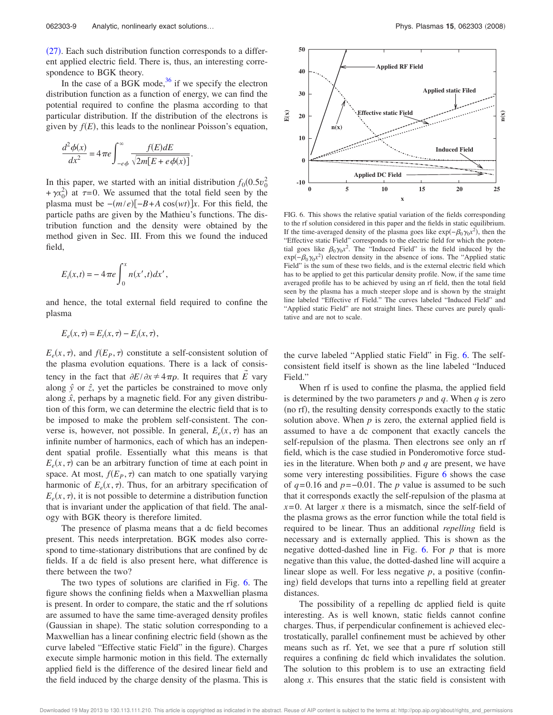$(27)$ . Each such distribution function corresponds to a different applied electric field. There is, thus, an interesting correspondence to BGK theory.

In the case of a BGK mode, $36$  if we specify the electron distribution function as a function of energy, we can find the potential required to confine the plasma according to that particular distribution. If the distribution of the electrons is given by  $f(E)$ , this leads to the nonlinear Poisson's equation,

$$
\frac{d^2\phi(x)}{dx^2} = 4\pi e \int_{-e\phi}^{\infty} \frac{f(E)dE}{\sqrt{2m[E + e\phi(x)]}}.
$$

In this paper, we started with an initial distribution  $f_0(0.5v_0^2)$ +  $\gamma x_0^2$  at  $\tau$ =0. We assumed that the total field seen by the plasma must be  $-(m/e)[-B+A \cos(wt)]x$ . For this field, the particle paths are given by the Mathieu's functions. The distribution function and the density were obtained by the method given in Sec. III. From this we found the induced field,

$$
E_i(x,t) = -4\pi e \int_0^x n(x',t)dx',
$$

and hence, the total external field required to confine the plasma

$$
E_e(x,\tau) = E_t(x,\tau) - E_i(x,\tau),
$$

 $E_e(x, \tau)$ , and  $f(E_P, \tau)$  constitute a self-consistent solution of the plasma evolution equations. There is a lack of consistency in the fact that  $\partial E / \partial x \neq 4\pi \rho$ . It requires that  $\overrightarrow{E}$  vary along  $\hat{y}$  or  $\hat{z}$ , yet the particles be constrained to move only along *xˆ*, perhaps by a magnetic field. For any given distribution of this form, we can determine the electric field that is to be imposed to make the problem self-consistent. The converse is, however, not possible. In general,  $E_e(x, \tau)$  has an infinite number of harmonics, each of which has an independent spatial profile. Essentially what this means is that  $E_e(x, \tau)$  can be an arbitrary function of time at each point in space. At most,  $f(E_P, \tau)$  can match to one spatially varying harmonic of  $E_e(x, \tau)$ . Thus, for an arbitrary specification of  $E_e(x, \tau)$ , it is not possible to determine a distribution function that is invariant under the application of that field. The analogy with BGK theory is therefore limited.

The presence of plasma means that a dc field becomes present. This needs interpretation. BGK modes also correspond to time-stationary distributions that are confined by dc fields. If a dc field is also present here, what difference is there between the two?

The two types of solutions are clarified in Fig. 6. The figure shows the confining fields when a Maxwellian plasma is present. In order to compare, the static and the rf solutions are assumed to have the same time-averaged density profiles (Gaussian in shape). The static solution corresponding to a Maxwellian has a linear confining electric field (shown as the curve labeled "Effective static Field" in the figure). Charges execute simple harmonic motion in this field. The externally applied field is the difference of the desired linear field and the field induced by the charge density of the plasma. This is



FIG. 6. This shows the relative spatial variation of the fields corresponding to the rf solution considered in this paper and the fields in static equilibrium. If the time-averaged density of the plasma goes like  $exp(-\beta_0 \gamma_0 x^2)$ , then the "Effective static Field" corresponds to the electric field for which the potential goes like  $\beta_0 \gamma_0 x^2$ . The "Induced Field" is the field induced by the exp(-β<sub>0</sub>γ<sub>0</sub>x<sup>2</sup>) electron density in the absence of ions. The "Applied static Field" is the sum of these two fields, and is the external electric field which has to be applied to get this particular density profile. Now, if the same time averaged profile has to be achieved by using an rf field, then the total field seen by the plasma has a much steeper slope and is shown by the straight line labeled "Effective rf Field." The curves labeled "Induced Field" and "Applied static Field" are not straight lines. These curves are purely qualitative and are not to scale.

the curve labeled "Applied static Field" in Fig. 6. The selfconsistent field itself is shown as the line labeled "Induced Field.'

When rf is used to confine the plasma, the applied field is determined by the two parameters *p* and *q*. When *q* is zero (no rf), the resulting density corresponds exactly to the static solution above. When  $p$  is zero, the external applied field is assumed to have a dc component that exactly cancels the self-repulsion of the plasma. Then electrons see only an rf field, which is the case studied in Ponderomotive force studies in the literature. When both *p* and *q* are present, we have some very interesting possibilities. Figure 6 shows the case of *q*=0.16 and *p*=−0.01. The *p* value is assumed to be such that it corresponds exactly the self-repulsion of the plasma at  $x=0$ . At larger *x* there is a mismatch, since the self-field of the plasma grows as the error function while the total field is required to be linear. Thus an additional *repelling* field is necessary and is externally applied. This is shown as the negative dotted-dashed line in Fig. 6. For *p* that is more negative than this value, the dotted-dashed line will acquire a linear slope as well. For less negative  $p$ , a positive (confining) field develops that turns into a repelling field at greater distances.

The possibility of a repelling dc applied field is quite interesting. As is well known, static fields cannot confine charges. Thus, if perpendicular confinement is achieved electrostatically, parallel confinement must be achieved by other means such as rf. Yet, we see that a pure rf solution still requires a confining dc field which invalidates the solution. The solution to this problem is to use an extracting field along *x*. This ensures that the static field is consistent with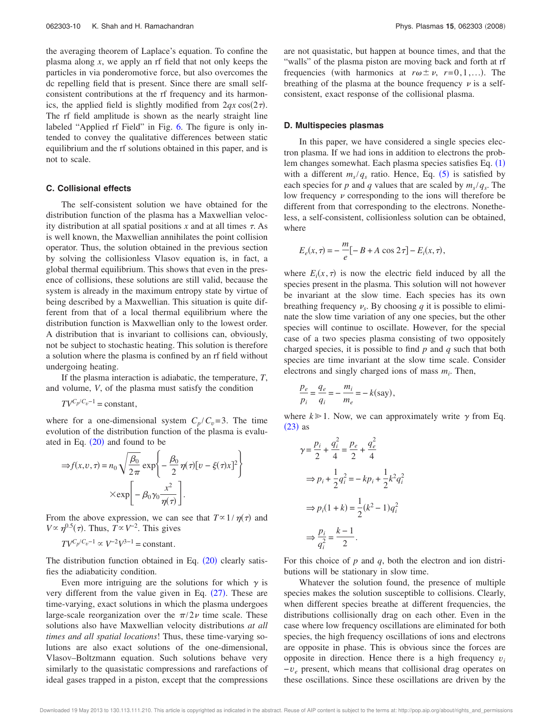the averaging theorem of Laplace's equation. To confine the plasma along *x*, we apply an rf field that not only keeps the particles in via ponderomotive force, but also overcomes the dc repelling field that is present. Since there are small selfconsistent contributions at the rf frequency and its harmonics, the applied field is slightly modified from  $2qx \cos(2\tau)$ . The rf field amplitude is shown as the nearly straight line labeled "Applied rf Field" in Fig. 6. The figure is only intended to convey the qualitative differences between static equilibrium and the rf solutions obtained in this paper, and is not to scale.

#### **C. Collisional effects**

The self-consistent solution we have obtained for the distribution function of the plasma has a Maxwellian velocity distribution at all spatial positions  $x$  and at all times  $\tau$ . As is well known, the Maxwellian annihilates the point collision operator. Thus, the solution obtained in the previous section by solving the collisionless Vlasov equation is, in fact, a global thermal equilibrium. This shows that even in the presence of collisions, these solutions are still valid, because the system is already in the maximum entropy state by virtue of being described by a Maxwellian. This situation is quite different from that of a local thermal equilibrium where the distribution function is Maxwellian only to the lowest order. A distribution that is invariant to collisions can, obviously, not be subject to stochastic heating. This solution is therefore a solution where the plasma is confined by an rf field without undergoing heating.

If the plasma interaction is adiabatic, the temperature, *T*, and volume, *V*, of the plasma must satisfy the condition

 $TV^{C_p/C_v-1}$  = constant,

where for a one-dimensional system  $C_p/C_v=3$ . The time evolution of the distribution function of the plasma is evaluated in Eq.  $(20)$  and found to be

$$
\Rightarrow f(x, v, \tau) = n_0 \sqrt{\frac{\beta_0}{2\pi}} \exp\left\{-\frac{\beta_0}{2} \eta(\tau) [v - \xi(\tau)x]^2\right\}
$$

$$
\times \exp\left[-\beta_0 \gamma_0 \frac{x^2}{\eta(\tau)}\right].
$$

From the above expression, we can see that  $T \propto 1/\eta(\tau)$  and  $V \propto \eta^{0.5}(\tau)$ . Thus,  $T \propto V^{-2}$ . This gives

$$
TV^{C_p/C_v-1}\propto V^{-2}V^{3-1}=\text{constant}.
$$

The distribution function obtained in Eq.  $(20)$  clearly satisfies the adiabaticity condition.

Even more intriguing are the solutions for which  $\gamma$  is very different from the value given in Eq.  $(27)$ . These are time-varying, exact solutions in which the plasma undergoes large-scale reorganization over the  $\pi/2\nu$  time scale. These solutions also have Maxwellian velocity distributions *at all times and all spatial locations*! Thus, these time-varying solutions are also exact solutions of the one-dimensional, Vlasov–Boltzmann equation. Such solutions behave very similarly to the quasistatic compressions and rarefactions of ideal gases trapped in a piston, except that the compressions are not quasistatic, but happen at bounce times, and that the "walls" of the plasma piston are moving back and forth at rf frequencies (with harmonics at  $r\omega \pm \nu$ ,  $r=0,1,...$ ). The breathing of the plasma at the bounce frequency  $\nu$  is a selfconsistent, exact response of the collisional plasma.

#### **D. Multispecies plasmas**

In this paper, we have considered a single species electron plasma. If we had ions in addition to electrons the problem changes somewhat. Each plasma species satisfies Eq. (1) with a different  $m_s/q_s$  ratio. Hence, Eq. (5) is satisfied by each species for *p* and *q* values that are scaled by  $m_s/q_s$ . The low frequency  $\nu$  corresponding to the ions will therefore be different from that corresponding to the electrons. Nonetheless, a self-consistent, collisionless solution can be obtained, where

$$
E_e(x,\tau) = -\frac{m}{e}[-B + A\,\cos 2\,\tau] - E_i(x,\tau),
$$

where  $E_i(x, \tau)$  is now the electric field induced by all the species present in the plasma. This solution will not however be invariant at the slow time. Each species has its own breathing frequency  $\nu_s$ . By choosing *q* it is possible to eliminate the slow time variation of any one species, but the other species will continue to oscillate. However, for the special case of a two species plasma consisting of two oppositely charged species, it is possible to find *p* and *q* such that both species are time invariant at the slow time scale. Consider electrons and singly charged ions of mass *m<sup>i</sup>* . Then,

$$
\frac{p_e}{p_i} = \frac{q_e}{q_i} = -\frac{m_i}{m_e} = -k(\text{say}),
$$

where  $k \geq 1$ . Now, we can approximately write  $\gamma$  from Eq.  $(23)$  as

$$
\gamma = \frac{p_i}{2} + \frac{q_i^2}{4} = \frac{p_e}{2} + \frac{q_e^2}{4}
$$
  
\n
$$
\Rightarrow p_i + \frac{1}{2}q_i^2 = -kp_i + \frac{1}{2}k^2q_i^2
$$
  
\n
$$
\Rightarrow p_i(1+k) = \frac{1}{2}(k^2 - 1)q_i^2
$$
  
\n
$$
\Rightarrow \frac{p_i}{q_i^2} = \frac{k-1}{2}.
$$

For this choice of *p* and *q*, both the electron and ion distributions will be stationary in slow time.

Whatever the solution found, the presence of multiple species makes the solution susceptible to collisions. Clearly, when different species breathe at different frequencies, the distributions collisionally drag on each other. Even in the case where low frequency oscillations are eliminated for both species, the high frequency oscillations of ions and electrons are opposite in phase. This is obvious since the forces are opposite in direction. Hence there is a high frequency  $v_i$ −*v<sup>e</sup>* present, which means that collisional drag operates on these oscillations. Since these oscillations are driven by the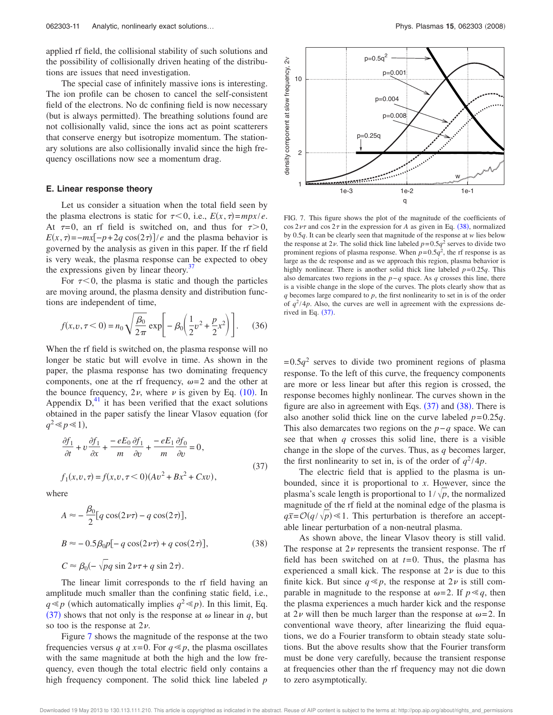applied rf field, the collisional stability of such solutions and the possibility of collisionally driven heating of the distributions are issues that need investigation.

The special case of infinitely massive ions is interesting. The ion profile can be chosen to cancel the self-consistent field of the electrons. No dc confining field is now necessary (but is always permitted). The breathing solutions found are not collisionally valid, since the ions act as point scatterers that conserve energy but isotropize momentum. The stationary solutions are also collisionally invalid since the high frequency oscillations now see a momentum drag.

### **E. Linear response theory**

Let us consider a situation when the total field seen by the plasma electrons is static for  $\tau < 0$ , i.e.,  $E(x, \tau) = mpx/e$ . At  $\tau = 0$ , an rf field is switched on, and thus for  $\tau > 0$ ,  $E(x, \tau) = -mx[-p + 2q \cos(2\tau)]/e$  and the plasma behavior is governed by the analysis as given in this paper. If the rf field is very weak, the plasma response can be expected to obey the expressions given by linear theory.<sup>37</sup>

For  $\tau < 0$ , the plasma is static and though the particles are moving around, the plasma density and distribution functions are independent of time,

$$
f(x, v, \tau < 0) = n_0 \sqrt{\frac{\beta_0}{2\pi}} \exp\left[-\beta_0 \left(\frac{1}{2}v^2 + \frac{p}{2}x^2\right)\right].
$$
 (36)

When the rf field is switched on, the plasma response will no longer be static but will evolve in time. As shown in the paper, the plasma response has two dominating frequency components, one at the rf frequency,  $\omega = 2$  and the other at the bounce frequency,  $2\nu$ , where  $\nu$  is given by Eq. (10). In Appendix  $D<sub>1</sub><sup>41</sup>$  it has been verified that the exact solutions obtained in the paper satisfy the linear Vlasov equation for  $q^2 \ll p \ll 1$ ),

$$
\frac{\partial f_1}{\partial t} + v \frac{\partial f_1}{\partial x} + \frac{-eE_0}{m} \frac{\partial f_1}{\partial v} + \frac{-eE_1}{m} \frac{\partial f_0}{\partial v} = 0,
$$
  

$$
f_1(x, v, \tau) = f(x, v, \tau < 0)(Av^2 + Bx^2 + Cxv),
$$
 (37)

where

$$
A \approx -\frac{\beta_0}{2} [q \cos(2\nu\tau) - q \cos(2\tau)],
$$
  
\n
$$
B \approx -0.5\beta_0 p [-q \cos(2\nu\tau) + q \cos(2\tau)],
$$
  
\n
$$
C \approx \beta_0 (-\sqrt{pq} \sin 2\nu\tau + q \sin 2\tau).
$$
\n(38)

The linear limit corresponds to the rf field having an amplitude much smaller than the confining static field, i.e.,  $q \ll p$  (which automatically implies  $q^2 \ll p$ ). In this limit, Eq.  $(37)$  shows that not only is the response at  $\omega$  linear in q, but so too is the response at  $2\nu$ .

Figure 7 shows the magnitude of the response at the two frequencies versus *q* at  $x=0$ . For  $q \leq p$ , the plasma oscillates with the same magnitude at both the high and the low frequency, even though the total electric field only contains a high frequency component. The solid thick line labeled *p*



FIG. 7. This figure shows the plot of the magnitude of the coefficients of  $\cos 2\nu\tau$  and  $\cos 2\tau$  in the expression for *A* as given in Eq. (38), normalized by 0.5*q*. It can be clearly seen that magnitude of the response at *w* lies below the response at  $2\nu$ . The solid thick line labeled  $p=0.5q^2$  serves to divide two prominent regions of plasma response. When  $p=0.5q^2$ , the rf response is as large as the dc response and as we approach this region, plasma behavior is highly nonlinear. There is another solid thick line labeled  $p=0.25q$ . This also demarcates two regions in the *p*−*q* space. As *q* crosses this line, there is a visible change in the slope of the curves. The plots clearly show that as *q* becomes large compared to *p*, the first nonlinearity to set in is of the order of  $q^2/4p$ . Also, the curves are well in agreement with the expressions derived in Eq.  $(37)$ .

 $=0.5q<sup>2</sup>$  serves to divide two prominent regions of plasma response. To the left of this curve, the frequency components are more or less linear but after this region is crossed, the response becomes highly nonlinear. The curves shown in the figure are also in agreement with Eqs.  $(37)$  and  $(38)$ . There is also another solid thick line on the curve labeled  $p=0.25q$ . This also demarcates two regions on the *p*−*q* space. We can see that when *q* crosses this solid line, there is a visible change in the slope of the curves. Thus, as *q* becomes larger, the first nonlinearity to set in, is of the order of  $q^2/4p$ .

The electric field that is applied to the plasma is unbounded, since it is proportional to *x*. However, since the plasma's scale length is proportional to  $1/\sqrt{p}$ , the normalized magnitude of the rf field at the nominal edge of the plasma is  $q\bar{x} = \mathcal{O}(q/\sqrt{p}) \ll 1$ . This perturbation is therefore an acceptable linear perturbation of a non-neutral plasma.

As shown above, the linear Vlasov theory is still valid. The response at  $2\nu$  represents the transient response. The rf field has been switched on at *t*=0. Thus, the plasma has experienced a small kick. The response at  $2\nu$  is due to this finite kick. But since  $q \leq p$ , the response at  $2\nu$  is still comparable in magnitude to the response at  $\omega = 2$ . If  $p \ll q$ , then the plasma experiences a much harder kick and the response at  $2\nu$  will then be much larger than the response at  $\omega = 2$ . In conventional wave theory, after linearizing the fluid equations, we do a Fourier transform to obtain steady state solutions. But the above results show that the Fourier transform must be done very carefully, because the transient response at frequencies other than the rf frequency may not die down to zero asymptotically.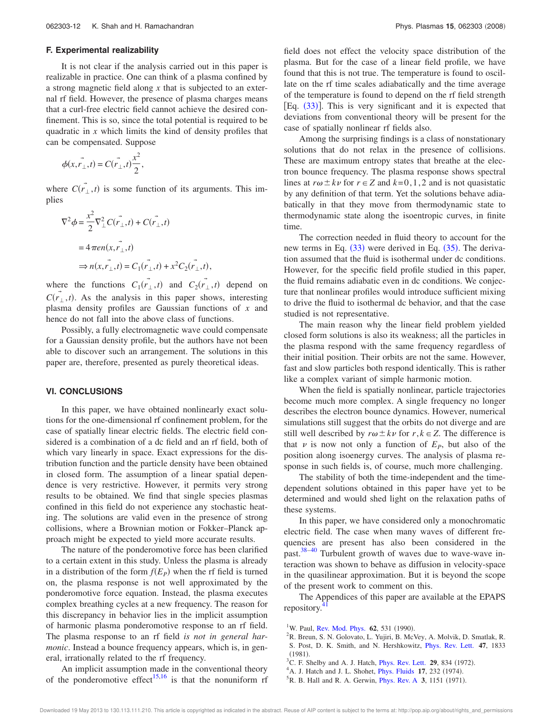### **F. Experimental realizability**

It is not clear if the analysis carried out in this paper is realizable in practice. One can think of a plasma confined by a strong magnetic field along *x* that is subjected to an external rf field. However, the presence of plasma charges means that a curl-free electric field cannot achieve the desired confinement. This is so, since the total potential is required to be quadratic in *x* which limits the kind of density profiles that can be compensated. Suppose

$$
\phi(x, r_{\perp}^{\bullet}, t) = C(r_{\perp}^{\bullet}, t) \frac{x^2}{2},
$$

where  $\vec{C(r_\perp, t)}$  is some function of its arguments. This implies

$$
\nabla^2 \phi = \frac{x^2}{2} \nabla^2_{\perp} C(\vec{r_{\perp}}, t) + C(\vec{r_{\perp}}, t)
$$
  
=  $4 \pi e n(x, \vec{r_{\perp}}, t)$   
 $\Rightarrow n(x, \vec{r_{\perp}}, t) = C_1(\vec{r_{\perp}}, t) + x^2 C_2(\vec{r_{\perp}}, t),$ 

where the functions  $C_1(\vec{r_+}, t)$  and  $C_2(\vec{r_+}, t)$  depend on  $C(\vec{r}_{\perp},t)$ . As the analysis in this paper shows, interesting plasma density profiles are Gaussian functions of *x* and hence do not fall into the above class of functions.

Possibly, a fully electromagnetic wave could compensate for a Gaussian density profile, but the authors have not been able to discover such an arrangement. The solutions in this paper are, therefore, presented as purely theoretical ideas.

#### **VI. CONCLUSIONS**

In this paper, we have obtained nonlinearly exact solutions for the one-dimensional rf confinement problem, for the case of spatially linear electric fields. The electric field considered is a combination of a dc field and an rf field, both of which vary linearly in space. Exact expressions for the distribution function and the particle density have been obtained in closed form. The assumption of a linear spatial dependence is very restrictive. However, it permits very strong results to be obtained. We find that single species plasmas confined in this field do not experience any stochastic heating. The solutions are valid even in the presence of strong collisions, where a Brownian motion or Fokker–Planck approach might be expected to yield more accurate results.

The nature of the ponderomotive force has been clarified to a certain extent in this study. Unless the plasma is already in a distribution of the form  $f(E_P)$  when the rf field is turned on, the plasma response is not well approximated by the ponderomotive force equation. Instead, the plasma executes complex breathing cycles at a new frequency. The reason for this discrepancy in behavior lies in the implicit assumption of harmonic plasma ponderomotive response to an rf field. The plasma response to an rf field *is not in general harmonic*. Instead a bounce frequency appears, which is, in general, irrationally related to the rf frequency.

An implicit assumption made in the conventional theory of the ponderomotive effect<sup>15,16</sup> is that the nonuniform rf field does not effect the velocity space distribution of the plasma. But for the case of a linear field profile, we have found that this is not true. The temperature is found to oscillate on the rf time scales adiabatically and the time average of the temperature is found to depend on the rf field strength [Eq. (33)]. This is very significant and it is expected that deviations from conventional theory will be present for the case of spatially nonlinear rf fields also.

Among the surprising findings is a class of nonstationary solutions that do not relax in the presence of collisions. These are maximum entropy states that breathe at the electron bounce frequency. The plasma response shows spectral lines at  $r\omega \pm k\nu$  for  $r \in \mathbb{Z}$  and  $k=0,1,2$  and is not quasistatic by any definition of that term. Yet the solutions behave adiabatically in that they move from thermodynamic state to thermodynamic state along the isoentropic curves, in finite time.

The correction needed in fluid theory to account for the new terms in Eq.  $(33)$  were derived in Eq.  $(35)$ . The derivation assumed that the fluid is isothermal under dc conditions. However, for the specific field profile studied in this paper, the fluid remains adiabatic even in dc conditions. We conjecture that nonlinear profiles would introduce sufficient mixing to drive the fluid to isothermal dc behavior, and that the case studied is not representative.

The main reason why the linear field problem yielded closed form solutions is also its weakness; all the particles in the plasma respond with the same frequency regardless of their initial position. Their orbits are not the same. However, fast and slow particles both respond identically. This is rather like a complex variant of simple harmonic motion.

When the field is spatially nonlinear, particle trajectories become much more complex. A single frequency no longer describes the electron bounce dynamics. However, numerical simulations still suggest that the orbits do not diverge and are still well described by  $r\omega \pm k\nu$  for  $r, k \in \mathbb{Z}$ . The difference is that  $\nu$  is now not only a function of  $E_p$ , but also of the position along isoenergy curves. The analysis of plasma response in such fields is, of course, much more challenging.

The stability of both the time-independent and the timedependent solutions obtained in this paper have yet to be determined and would shed light on the relaxation paths of these systems.

In this paper, we have considered only a monochromatic electric field. The case when many waves of different frequencies are present has also been considered in the past.<sup>38-40</sup> Turbulent growth of waves due to wave-wave interaction was shown to behave as diffusion in velocity-space in the quasilinear approximation. But it is beyond the scope of the present work to comment on this.

The Appendices of this paper are available at the EPAPS repository.<sup>41</sup>

<sup>2</sup>R. Breun, S. N. Golovato, L. Yujiri, B. McVey, A. Molvik, D. Smatlak, R. S. Post, D. K. Smith, and N. Hershkowitz, Phys. Rev. Lett. **47**, 1833  $(1981).$ 

<sup>&</sup>lt;sup>1</sup>W. Paul, Rev. Mod. Phys. **62**, 531 (1990).

 ${}^{3}$ C. F. Shelby and A. J. Hatch, *Phys. Rev. Lett.* **29**, 834 (1972).

<sup>&</sup>lt;sup>4</sup> A. J. Hatch and J. L. Shohet, *Phys. Fluids* 17, 232 (1974).

 ${}^{5}R$ . B. Hall and R. A. Gerwin, *Phys. Rev. A* 3, 1151 (1971).